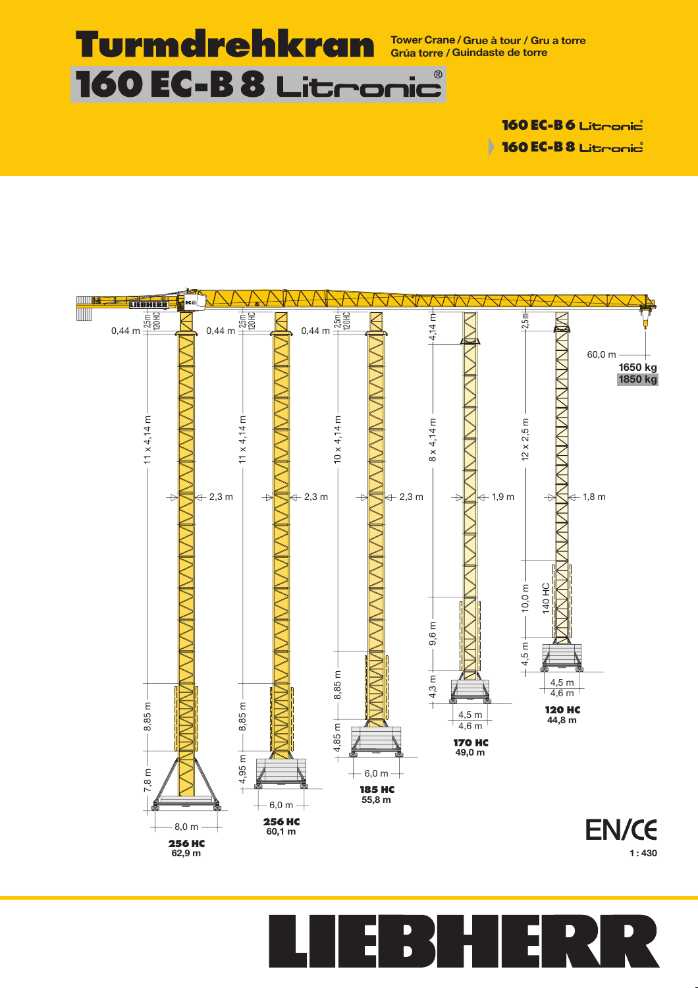

**Tower Crane /Grue à tour / Gru a torre Grúa torre / Guindaste de torre**

D

**160 EC-B6** Litconic **160 EC-B8** Litronic



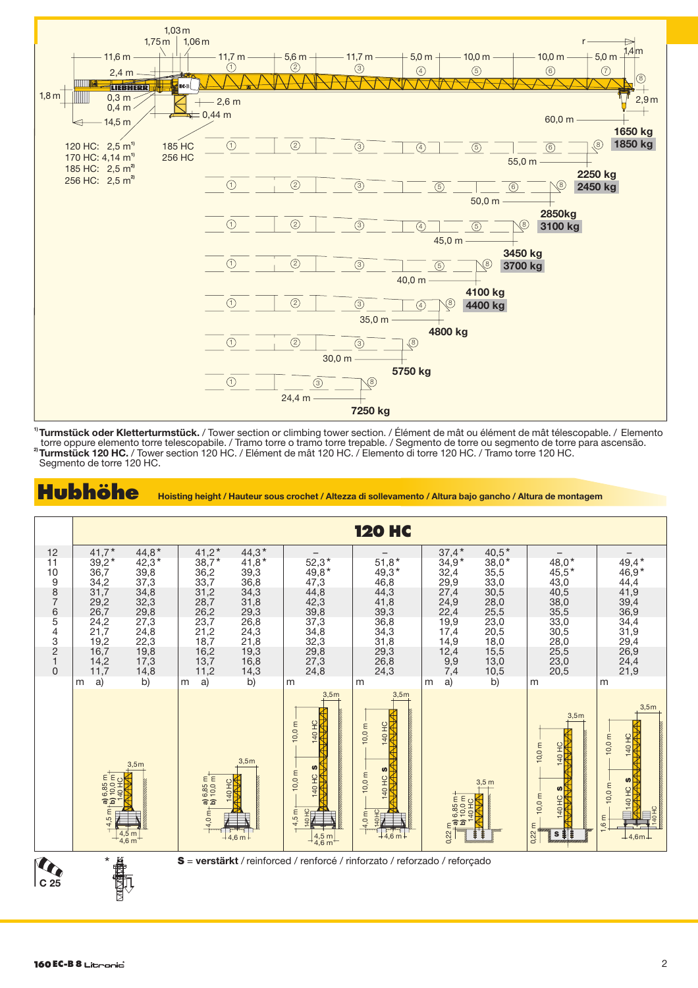

**1) Turmstück oder Kletterturmstück.** / Tower section or climbing tower section. / Élément de mât ou élément de mât télescopable. / Elemento **2 )** torre oppure elemento torre telescopabile. / Tramo torre o tramo torre trepable. / Segmento de torre ou segmento de torre para ascensão. **Turmstück 120 HC.** / Tower section 120 HC. / Elément de mât 120 HC. / Elemento di torre 120 HC. / Tramo torre 120 HC. Segmento de torre 120 HC.



**Hubhöhe Hoisting height / Hauteur sous crochet / Altezza di sollevamento / Altura bajo gancho / Altura de montagem**

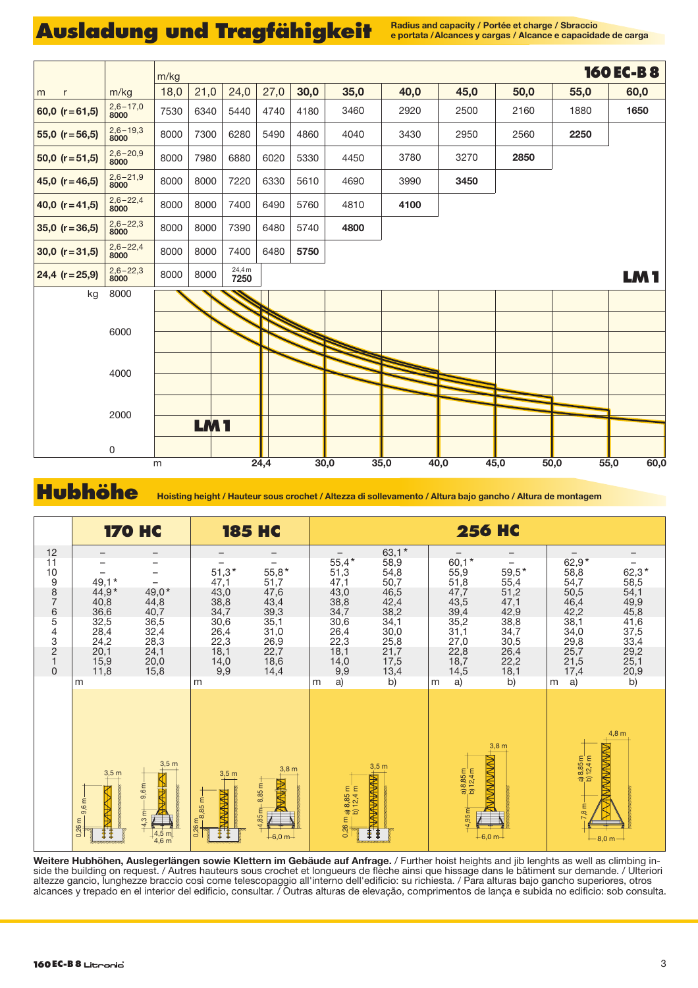## Ausladung und Tragfähigkeit **Radius and capacity / Portée et charge / Sbraccio**

**e portata /Alcances y cargas / Alcance e capacidade de carga**



**Hubhöhe Hoisting height / Hauteur sous crochet / Altezza di sollevamento / Altura bajo gancho / Altura de montagem**



**Weitere Hubhöhen, Auslegerlängen sowie Klettern im Gebäude auf Anfrage.** / Further hoist heights and jib lenghts as well as climbing in side the building on request. / Autres hauteurs sous crochet et longueurs de flèche ainsi que hissage dans le bâtiment sur demande. / Ulteriori altezze gancio, lunghezze braccio così come telescopaggio all'interno dell'edificio: su richiesta. / Para alturas bajo gancho superiores, otros alcances y trepado en el interior del edificio, consultar. / Outras alturas de elevação, comprimentos de lança e subida no edificio: sob consulta.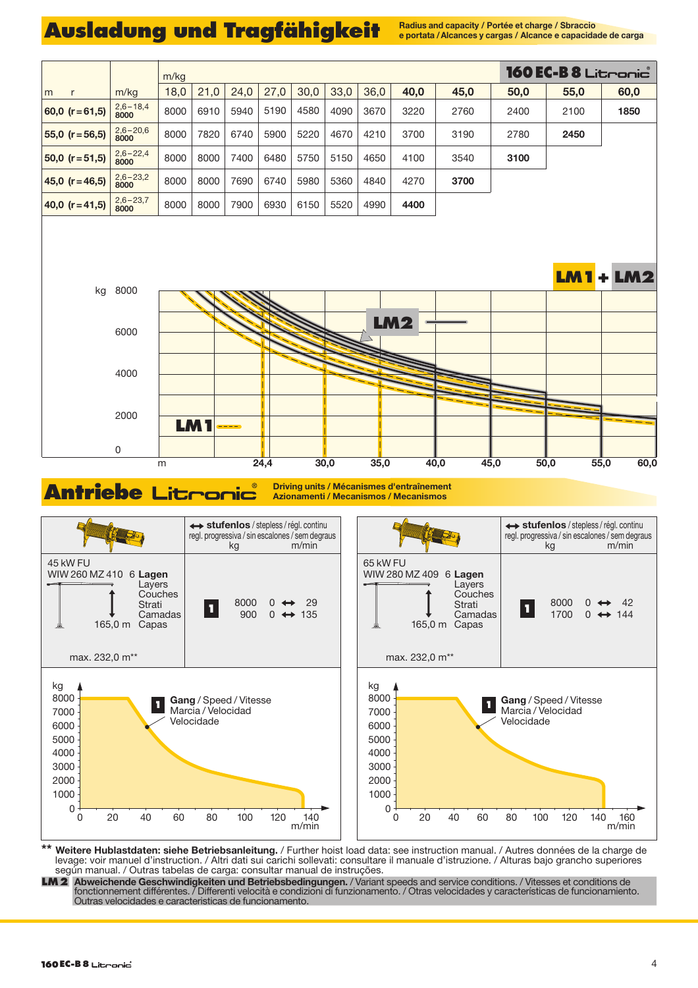## Ausladung und Tragfähigkeit **Radius and Capacity / Portée et charge / Sbraccio**

**e portata /Alcances y cargas / Alcance e capacidade de carga**



Antriebe Litronic **Response d'entraînement Azionamenti / Mecanismos / Mecanismos**



**\*\* Weitere Hublastdaten: siehe Betriebsanleitung.** / Further hoist load data: see instruction manual. / Autres données de la charge de levage: voir manuel d'instruction. / Altri dati sui carichi sollevati: consultare il manuale d'istruzione. / Alturas bajo grancho superiores según manual. / Outras tabelas de carga: consultar manual de instruções.

**LM2 Abweichende Geschwindigkeiten und Betriebsbedingungen.** / Variant speeds and service conditions. / Vitesses et conditions de fonctionnement différentes. / Differenti velocità e condizioni di funzionamento. / Otras velocidades y características de funcionamiento. Outras velocidades e caracteristicas de funcionamento.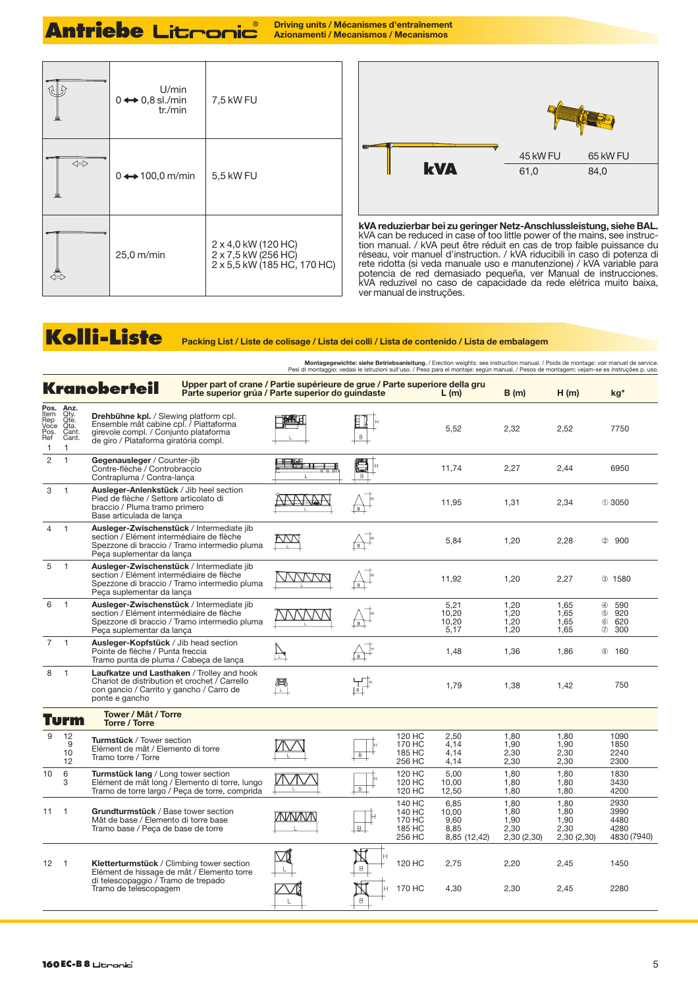# **Antriebe Litronic**

**Driving units / Mécanismes d'entraînement<br>Azionamenti / Mecanismos / Mecanismos** 

|                   | U/min<br>$0 \leftrightarrow 0,8$ sl./min<br>tr./min | 7,5 kW FU                                                                 |  |  |  |  |
|-------------------|-----------------------------------------------------|---------------------------------------------------------------------------|--|--|--|--|
| $\Leftrightarrow$ | $0 \leftrightarrow 100.0$ m/min                     | 5,5 kW FU                                                                 |  |  |  |  |
|                   | 25,0 m/min                                          | 2 x 4,0 kW (120 HC)<br>2 x 7,5 kW (256 HC)<br>2 x 5,5 kW (185 HC, 170 HC) |  |  |  |  |



**kVA reduzierbar bei zu geringer Netz-Anschlussleistung, siehe BAL.** kVA can be reduced in case of too little power of the mains, see instruc- tion manual. / kVA peut être réduit en cas de trop faible puissance du réseau, voir manuel d'instruction. / kVA riducibili in caso di potenza di rete ridotta (si veda manuale uso e manutenzione) / kVA variable para potencia de red demasiado pequeña, ver Manual de instrucciones. kVA reduzível no caso de capacidade da rede elétrica muito baixa, ver manual de instruções.

#### **Kolli-Liste Packing List / Liste de colisage / Lista dei colli / Lista de contenido / Lista de embalagem**

Montagegewichte: siehe Betriebsanleitung. / Erection weights: see instruction manual. / Poids de montage: voir manuel de service.<br>Pesi di montaggio: vedasi le istruzioni sull'uso. / Peso para el montaje: según manual. / Pe

|                                                     |                                                     | <b>Kranoberteil</b>                                                                                                                                                       | Upper part of crane / Partie supérieure de grue / Parte superiore della gru<br>Parte superior grúa / Parte superior do guindaste |              |                     |                                                | L(m)                                          | B(m)                                       | H(m)                                        | kg*                                                                            |
|-----------------------------------------------------|-----------------------------------------------------|---------------------------------------------------------------------------------------------------------------------------------------------------------------------------|----------------------------------------------------------------------------------------------------------------------------------|--------------|---------------------|------------------------------------------------|-----------------------------------------------|--------------------------------------------|---------------------------------------------|--------------------------------------------------------------------------------|
| Pos.<br>Item<br>Rep<br>Voce<br>Pos.<br>Ref<br>1     | Anz.<br>Qty.<br>Qte.<br>Qta.<br>Cant.<br>Cant.<br>1 | <b>Drehbühne kpl.</b> / Slewing platform cpl.<br>Ensemble mât cabine cpl. / Piattaforma<br>girevole compl. / Conjunto plataforma<br>de giro / Plataforma giratória compl. |                                                                                                                                  |              | B                   |                                                | 5,52                                          | 2,32                                       | 2,52                                        | 7750                                                                           |
| $\overline{2}$                                      | $\mathbf{1}$                                        | Gegenausleger / Counter-jib<br>Contre-flèche / Controbraccio<br>Contrapluma / Contra-lanca                                                                                |                                                                                                                                  |              |                     |                                                | 11.74                                         | 2.27                                       | 2,44                                        | 6950                                                                           |
| 3                                                   | $\overline{1}$                                      | Ausleger-Anlenkstück / Jib heel section<br>Pied de flèche / Settore articolato di<br>braccio / Pluma tramo primero<br>Base articulada de lanca                            |                                                                                                                                  |              |                     |                                                | 11,95                                         | 1,31                                       | 2,34                                        | $\times$ 3050                                                                  |
| 4                                                   | $\overline{1}$                                      | Ausleger-Zwischenstück / Intermediate jib<br>section / Elément intermédiaire de flèche<br>Spezzone di braccio / Tramo intermedio pluma<br>Peça suplementar da lança       |                                                                                                                                  |              | B                   |                                                | 5.84                                          | 1,20                                       | 2,28                                        | (2)<br>900                                                                     |
| 5                                                   | $\mathbf{1}$                                        | Ausleger-Zwischenstück / Intermediate jib<br>section / Elément intermédiaire de flèche<br>Spezzone di braccio / Tramo intermedio pluma<br>Peça suplementar da lança       |                                                                                                                                  |              | B                   |                                                | 11,92                                         | 1,20                                       | 2,27                                        | 3 1580                                                                         |
| 6                                                   | $\mathbf{1}$                                        | Ausleger-Zwischenstück / Intermediate jib<br>section / Elément intermédiaire de flèche<br>Peca suplementar da lanca                                                       | Spezzone di braccio / Tramo intermedio pluma                                                                                     |              |                     |                                                | 5.21<br>10.20<br>10,20<br>5,17                | 1.20<br>1.20<br>1,20<br>1.20               | 1.65<br>1,65<br>1,65<br>1,65                | 590<br>$\circled{4}$<br>920<br>$\circledS$<br>$\circledS$<br>620<br>300<br>(7) |
| $\overline{7}$                                      | $\overline{1}$                                      | Ausleger-Kopfstück / Jib head section<br>Pointe de flèche / Punta freccia<br>Tramo punta de pluma / Cabeca de lança                                                       |                                                                                                                                  | Ħ            | ொ                   |                                                | 1,48                                          | 1,36                                       | 1,86                                        | 8 160                                                                          |
| 8                                                   | $\mathbf{1}$                                        | Laufkatze und Lasthaken / Trolley and hook<br>Chariot de distribution et crochet / Carrello<br>con gancio / Carrito y gancho / Carro de<br>ponte e gancho                 |                                                                                                                                  |              |                     |                                                | 1.79                                          | 1.38                                       | 1.42                                        | 750                                                                            |
| Tower / Mât / Torre<br>Turm<br><b>Torre / Torre</b> |                                                     |                                                                                                                                                                           |                                                                                                                                  |              |                     |                                                |                                               |                                            |                                             |                                                                                |
| 9                                                   | 12<br>9<br>10<br>12                                 | Turmstück / Tower section<br>Elément de mât / Elemento di torre<br>Tramo torre / Torre                                                                                    |                                                                                                                                  |              | $\overline{B}$      | 120 HC<br>170 HC<br>185 HC<br>256 HC           | 2.50<br>4,14<br>4.14<br>4,14                  | 1.80<br>1,90<br>2,30<br>2,30               | 1.80<br>1,90<br>2,30<br>2,30                | 1090<br>1850<br>2240<br>2300                                                   |
| 10                                                  | 6<br>3                                              | Turmstück lang / Long tower section<br>Elément de mât long / Elemento di torre, lungo<br>Tramo de torre largo / Peça de torre, comprida                                   |                                                                                                                                  |              | $\overline{B}$      | 120 HC<br>120 HC<br>120 HC                     | 5.00<br>10.00<br>12,50                        | 1.80<br>1.80<br>1,80                       | 1.80<br>1.80<br>1,80                        | 1830<br>3430<br>4200                                                           |
| 11                                                  | $\overline{1}$                                      | Grundturmstück / Base tower section<br>Mât de base / Elemento di torre base<br>Tramo base / Peca de base de torre                                                         |                                                                                                                                  | <b>NVNVN</b> | B                   | 140 HC<br>140 HC<br>170 HC<br>185 HC<br>256 HC | 6.85<br>10,00<br>9.60<br>8.85<br>8,85 (12,42) | 1.80<br>1,80<br>1,90<br>2.30<br>2,30(2,30) | 1,80<br>1,80<br>1.90<br>2.30<br>2,30 (2,30) | 2930<br>3990<br>4480<br>4280<br>4830 (7940)                                    |
| $12 \quad 1$                                        |                                                     | Kletterturmstück / Climbing tower section<br>Elément de hissage de mât / Elemento torre<br>di telescopaggio / Tramo de trepado<br>Tramo de telescopagem                   |                                                                                                                                  |              | $\overline{H}$<br>B | 120 HC                                         | 2,75                                          | 2,20                                       | 2,45                                        | 1450                                                                           |
|                                                     |                                                     |                                                                                                                                                                           |                                                                                                                                  |              | Ĥ<br>B              | 170 HC                                         | 4,30                                          | 2,30                                       | 2,45                                        | 2280                                                                           |